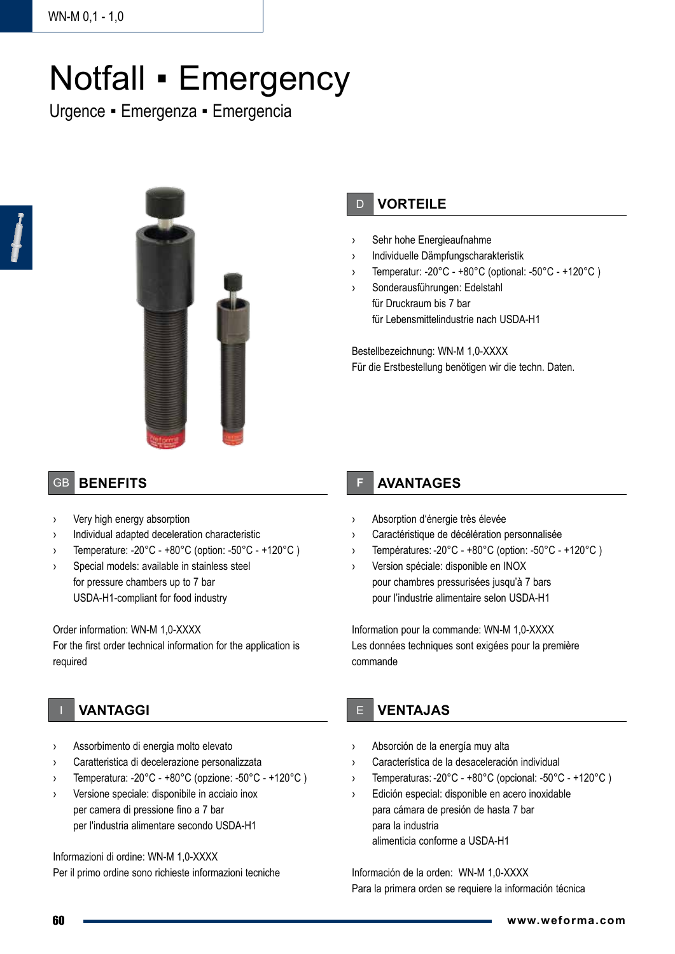# Notfall • Emergency

Urgence ▪ Emergenza ▪ Emergencia



# D **VORTEILE**

- Sehr hohe Energieaufnahme
- › Individuelle Dämpfungscharakteristik
- Temperatur: -20°C +80°C (optional: -50°C +120°C )
- Sonderausführungen: Edelstahl für Druckraum bis 7 bar für Lebensmittelindustrie nach USDA-H1

Bestellbezeichnung: WN-M 1,0-XXXX Für die Erstbestellung benötigen wir die techn. Daten.

## GB **BENEFITS**

- › Very high energy absorption
- › Individual adapted deceleration characteristic
- Temperature: -20 $^{\circ}$ C +80 $^{\circ}$ C (option: -50 $^{\circ}$ C +120 $^{\circ}$ C)
- Special models: available in stainless steel for pressure chambers up to 7 bar USDA-H1-compliant for food industry

### Order information: WN-M 1,0-XXXX

For the first order technical information for the application is required

- I **VANTAGGI**
- Assorbimento di energia molto elevato
- Caratteristica di decelerazione personalizzata
- Temperatura: -20 $^{\circ}$ C +80 $^{\circ}$ C (opzione: -50 $^{\circ}$ C +120 $^{\circ}$ C)
- Versione speciale: disponibile in acciaio inox per camera di pressione fino a 7 bar per l'industria alimentare secondo USDA-H1

Informazioni di ordine: WN-M 1,0-XXXX Per il primo ordine sono richieste informazioni tecniche

## **F AVANTAGES**

- › Absorption d'énergie très élevée
- Caractéristique de décélération personnalisée
- › Températures: -20°C +80°C (option: -50°C +120°C )
- › Version spéciale: disponible en INOX pour chambres pressurisées jusqu'à 7 bars pour l'industrie alimentaire selon USDA-H1

Information pour la commande: WN-M 1,0-XXXX Les données techniques sont exigées pour la première commande

# E **VENTAJAS**

- › Absorción de la energía muy alta
- Característica de la desaceleración individual
- Temperaturas: -20°C +80°C (opcional: -50°C +120°C)
- Edición especial: disponible en acero inoxidable para cámara de presión de hasta 7 bar para la industria alimenticia conforme a USDA-H1

Información de la orden: WN-M 1,0-XXXX Para la primera orden se requiere la información técnica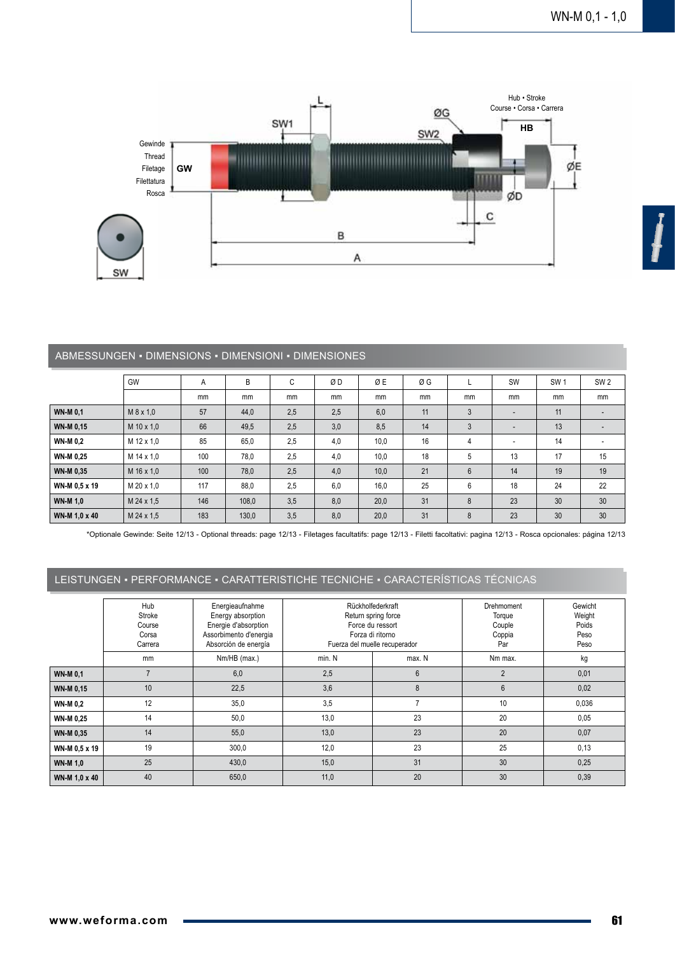

#### ABMESSUNGEN ▪ DIMENSIONS ▪ DIMENSIONI ▪ DIMENSIONES

|                  | GW          | A   | B     | C   | ØD  | ØΕ   | ØG |                | SW                       | SW <sub>1</sub> | SW <sub>2</sub> |
|------------------|-------------|-----|-------|-----|-----|------|----|----------------|--------------------------|-----------------|-----------------|
|                  |             | mm  | mm    | mm  | mm  | mm   | mm | mm             | mm                       | mm              | mm              |
| <b>WN-M 0.1</b>  | $M$ 8 x 1,0 | 57  | 44,0  | 2,5 | 2,5 | 6,0  | 11 | 3              | $\overline{\phantom{a}}$ | 11              |                 |
| <b>WN-M 0.15</b> | M 10 x 1,0  | 66  | 49,5  | 2,5 | 3,0 | 8,5  | 14 | 3              | $\overline{\phantom{a}}$ | 13              |                 |
| <b>WN-M 0.2</b>  | M 12 x 1,0  | 85  | 65,0  | 2,5 | 4,0 | 10,0 | 16 | 4              | ٠                        | 14              |                 |
| <b>WN-M 0.25</b> | M 14 x 1,0  | 100 | 78,0  | 2,5 | 4,0 | 10,0 | 18 | 5              | 13                       | 17              | 15              |
| <b>WN-M 0.35</b> | M 16 x 1.0  | 100 | 78,0  | 2,5 | 4,0 | 10,0 | 21 | $6\phantom{1}$ | 14                       | 19              | 19              |
| WN-M 0.5 x 19    | M 20 x 1,0  | 117 | 88,0  | 2,5 | 6,0 | 16,0 | 25 | 6              | 18                       | 24              | 22              |
| <b>WN-M 1.0</b>  | M 24 x 1,5  | 146 | 108,0 | 3,5 | 8,0 | 20,0 | 31 | 8              | 23                       | 30              | 30              |
| WN-M 1.0 x 40    | M 24 x 1.5  | 183 | 130.0 | 3,5 | 8,0 | 20.0 | 31 | 8              | 23                       | 30              | 30              |

\*Optionale Gewinde: Seite 12/13 - Optional threads: page 12/13 - Filetages facultatifs: page 12/13 - Filetti facoltativi: pagina 12/13 - Rosca opcionales: página 12/13

### LEISTUNGEN ▪ PERFORMANCE ▪ CARATTERISTICHE TECNICHE ▪ CARACTERÍSTICAS TÉCNICAS

|                  | Hub<br>Stroke<br>Course<br>Corsa<br>Carrera | Energieaufnahme<br>Energy absorption<br>Energie d'absorption<br>Assorbimento d'energia<br>Absorción de energía |        | Rückholfederkraft<br>Return spring force<br>Force du ressort<br>Forza di ritorno<br>Fuerza del muelle recuperador | Drehmoment<br>Torque<br>Couple<br>Coppia<br>Par | Gewicht<br>Weight<br>Poids<br>Peso<br>Peso |
|------------------|---------------------------------------------|----------------------------------------------------------------------------------------------------------------|--------|-------------------------------------------------------------------------------------------------------------------|-------------------------------------------------|--------------------------------------------|
|                  | mm                                          | Nm/HB (max.)                                                                                                   | min. N | max. N                                                                                                            |                                                 | kg                                         |
| <b>WN-M 0.1</b>  | $\overline{7}$                              | 6,0                                                                                                            | 2,5    | $6\phantom{1}$                                                                                                    | $\overline{2}$                                  | 0,01                                       |
| <b>WN-M 0.15</b> | 10                                          | 22,5                                                                                                           | 3,6    | 8                                                                                                                 | $6\phantom{1}$                                  | 0,02                                       |
| <b>WN-M 0.2</b>  | 12                                          | 35,0                                                                                                           | 3,5    |                                                                                                                   | 10                                              | 0,036                                      |
| <b>WN-M 0,25</b> | 14                                          | 50,0                                                                                                           | 13,0   | 23                                                                                                                | 20                                              | 0,05                                       |
| <b>WN-M 0.35</b> | 14                                          | 55,0                                                                                                           | 13,0   | 23                                                                                                                | 20                                              | 0,07                                       |
| WN-M 0.5 x 19    | 19                                          | 300,0                                                                                                          | 12,0   | 23                                                                                                                | 25                                              | 0,13                                       |
| <b>WN-M 1,0</b>  | 25                                          | 430,0                                                                                                          | 15,0   | 31                                                                                                                | 30                                              | 0,25                                       |
| WN-M 1,0 x 40    | 40                                          | 650,0                                                                                                          | 11,0   | 20                                                                                                                | 30                                              | 0,39                                       |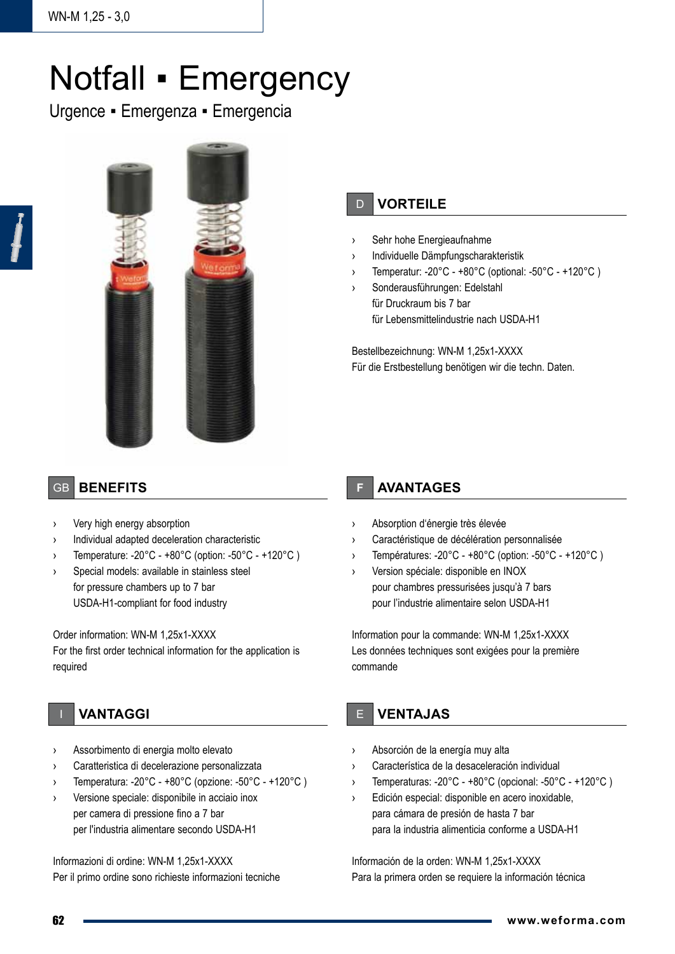# Notfall • Emergency

Urgence ▪ Emergenza ▪ Emergencia



# D **VORTEILE**

- › Sehr hohe Energieaufnahme
- › Individuelle Dämpfungscharakteristik
- › Temperatur: -20°C +80°C (optional: -50°C +120°C )
- Sonderausführungen: Edelstahl für Druckraum bis 7 bar für Lebensmittelindustrie nach USDA-H1

Bestellbezeichnung: WN-M 1,25x1-XXXX Für die Erstbestellung benötigen wir die techn. Daten.

## GB **BENEFITS**

- Very high energy absorption
- › Individual adapted deceleration characteristic
- › Temperature: -20°C +80°C (option: -50°C +120°C )
- › Special models: available in stainless steel for pressure chambers up to 7 bar USDA-H1-compliant for food industry

#### Order information: WN-M 1,25x1-XXXX

For the first order technical information for the application is required

## I **VANTAGGI**

- Assorbimento di energia molto elevato
- Caratteristica di decelerazione personalizzata
- › Temperatura: -20°C +80°C (opzione: -50°C +120°C )
- › Versione speciale: disponibile in acciaio inox per camera di pressione fino a 7 bar per l'industria alimentare secondo USDA-H1

Informazioni di ordine: WN-M 1,25x1-XXXX

Per il primo ordine sono richieste informazioni tecniche

## **F AVANTAGES**

- › Absorption d'énergie très élevée
- Caractéristique de décélération personnalisée
- › Températures: -20°C +80°C (option: -50°C +120°C )
- › Version spéciale: disponible en INOX pour chambres pressurisées jusqu'à 7 bars pour l'industrie alimentaire selon USDA-H1

Information pour la commande: WN-M 1,25x1-XXXX Les données techniques sont exigées pour la première commande

## E **VENTAJAS**

- › Absorción de la energía muy alta
- Característica de la desaceleración individual
- Temperaturas: -20°C +80°C (opcional: -50°C +120°C)
- Edición especial: disponible en acero inoxidable, para cámara de presión de hasta 7 bar para la industria alimenticia conforme a USDA-H1

Información de la orden: WN-M 1,25x1-XXXX Para la primera orden se requiere la información técnica